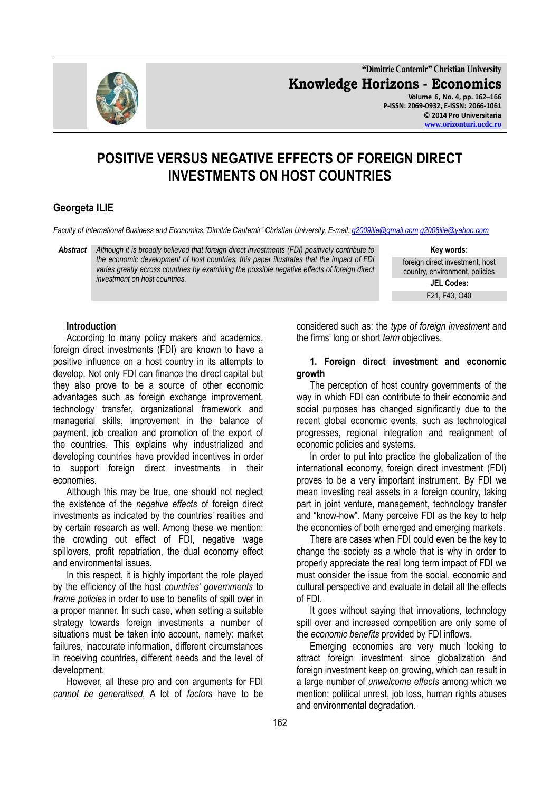

**"Dimitrie Cantemir" Christian University Knowledge Horizons - Economics Volume 6, No. 4, pp. 162–166 P-ISSN: 2069-0932, E-ISSN: 2066-1061 © 2014 Pro Universitaria [www.orizonturi.ucdc.ro](http://www.orizonturi.ucdc.ro/)**

# **POSITIVE VERSUS NEGATIVE EFFECTS OF FOREIGN DIRECT INVESTMENTS ON HOST COUNTRIES**

# **Georgeta ILIE**

*Faculty of International Business and Economics,"Dimitrie Cantemir" Christian University, E-mail: [g2009ilie@gmail.com,](mailto:g2009ilie@gmail.com)[g2008ilie@yahoo.com](mailto:g2008ilie@yahoo.com)*

*Abstract Although it is broadly believed that foreign direct investments (FDI) positively contribute to the economic development of host countries, this paper illustrates that the impact of FDI varies greatly across countries by examining the possible negative effects of foreign direct investment on host countries.*

**Key words:**  foreign direct investment, host country, environment, policies **JEL Codes:** F21, F43, O40

# **Introduction**

According to many policy makers and academics, foreign direct investments (FDI) are known to have a positive influence on a host country in its attempts to develop. Not only FDI can finance the direct capital but they also prove to be a source of other economic advantages such as foreign exchange improvement, technology transfer, organizational framework and managerial skills, improvement in the balance of payment, job creation and promotion of the export of the countries. This explains why industrialized and developing countries have provided incentives in order to support foreign direct investments in their economies.

Although this may be true, one should not neglect the existence of the *negative effects* of foreign direct investments as indicated by the countries' realities and by certain research as well. Among these we mention: the crowding out effect of FDI, negative wage spillovers, profit repatriation, the dual economy effect and environmental issues.

In this respect, it is highly important the role played by the efficiency of the host *countries' governments* to *frame policies* in order to use to benefits of spill over in a proper manner. In such case, when setting a suitable strategy towards foreign investments a number of situations must be taken into account, namely: market failures, inaccurate information, different circumstances in receiving countries, different needs and the level of development.

However, all these pro and con arguments for FDI *cannot be generalised.* A lot of *factors* have to be

considered such as: the *type of foreign investment* and the firms" long or short *term* objectives.

#### **1. Foreign direct investment and economic growth**

The perception of host country governments of the way in which FDI can contribute to their economic and social purposes has changed significantly due to the recent global economic events, such as technological progresses, regional integration and realignment of economic policies and systems.

In order to put into practice the globalization of the international economy, foreign direct investment (FDI) proves to be a very important instrument. By FDI we mean investing real assets in a foreign country, taking part in joint venture, management, technology transfer and "know-how". Many perceive FDI as the key to help the economies of both emerged and emerging markets.

There are cases when FDI could even be the key to change the society as a whole that is why in order to properly appreciate the real long term impact of FDI we must consider the issue from the social, economic and cultural perspective and evaluate in detail all the effects of FDI.

It goes without saying that innovations, technology spill over and increased competition are only some of the *economic benefits* provided by FDI inflows.

Emerging economies are very much looking to attract foreign investment since globalization and foreign investment keep on growing, which can result in a large number of *unwelcome effects* among which we mention: political unrest, job loss, human rights abuses and environmental degradation.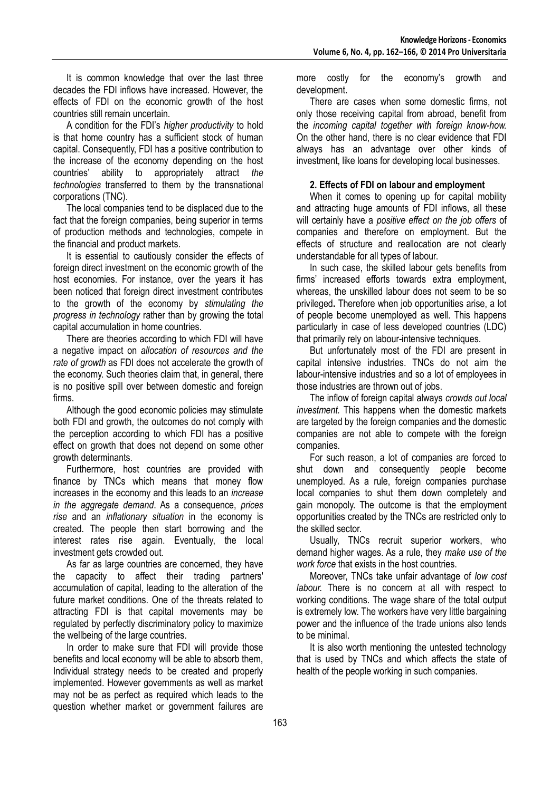It is common knowledge that over the last three decades the FDI inflows have increased. However, the effects of FDI on the economic growth of the host countries still remain uncertain.

A condition for the FDI"s *higher productivity* to hold is that home country has a sufficient stock of human capital. Consequently, FDI has a positive contribution to the increase of the economy depending on the host countries" ability to appropriately attract *the technologies* transferred to them by the transnational corporations (TNC).

The local companies tend to be displaced due to the fact that the foreign companies, being superior in terms of production methods and technologies, compete in the financial and product markets.

It is essential to cautiously consider the effects of foreign direct investment on the economic growth of the host economies. For instance, over the years it has been noticed that foreign direct investment contributes to the growth of the economy by *stimulating the progress in technology* rather than by growing the total capital accumulation in home countries.

There are theories according to which FDI will have a negative impact on *allocation of resources and the rate of growth* as FDI does not accelerate the growth of the economy. Such theories claim that, in general, there is no positive spill over between domestic and foreign firms.

Although the good economic policies may stimulate both FDI and growth, the outcomes do not comply with the perception according to which FDI has a positive effect on growth that does not depend on some other growth determinants.

Furthermore, host countries are provided with finance by TNCs which means that money flow increases in the economy and this leads to an *increase in the aggregate demand*. As a consequence, *prices rise* and an *inflationary situation* in the economy is created. The people then start borrowing and the interest rates rise again. Eventually, the local investment gets crowded out.

As far as large countries are concerned, they have the capacity to affect their trading partners' accumulation of capital, leading to the alteration of the future market conditions. One of the threats related to attracting FDI is that capital movements may be regulated by perfectly discriminatory policy to maximize the wellbeing of the large countries.

In order to make sure that FDI will provide those benefits and local economy will be able to absorb them, Individual strategy needs to be created and properly implemented. However governments as well as market may not be as perfect as required which leads to the question whether market or government failures are

more costly for the economy"s growth and development.

There are cases when some domestic firms, not only those receiving capital from abroad, benefit from the *incoming capital together with foreign know-how.* On the other hand, there is no clear evidence that FDI always has an advantage over other kinds of investment, like loans for developing local businesses.

# **2. Effects of FDI on labour and employment**

When it comes to opening up for capital mobility and attracting huge amounts of FDI inflows, all these will certainly have a *positive effect on the job offers* of companies and therefore on employment. But the effects of structure and reallocation are not clearly understandable for all types of labour.

In such case, the skilled labour gets benefits from firms" increased efforts towards extra employment, whereas, the unskilled labour does not seem to be so privileged**.** Therefore when job opportunities arise, a lot of people become unemployed as well. This happens particularly in case of less developed countries (LDC) that primarily rely on labour-intensive techniques.

But unfortunately most of the FDI are present in capital intensive industries. TNCs do not aim the labour-intensive industries and so a lot of employees in those industries are thrown out of jobs.

The inflow of foreign capital always *crowds out local investment.* This happens when the domestic markets are targeted by the foreign companies and the domestic companies are not able to compete with the foreign companies.

For such reason, a lot of companies are forced to shut down and consequently people become unemployed. As a rule, foreign companies purchase local companies to shut them down completely and gain monopoly. The outcome is that the employment opportunities created by the TNCs are restricted only to the skilled sector.

Usually, TNCs recruit superior workers, who demand higher wages. As a rule, they *make use of the work force* that exists in the host countries.

Moreover, TNCs take unfair advantage of *low cost labour.* There is no concern at all with respect to working conditions. The wage share of the total output is extremely low. The workers have very little bargaining power and the influence of the trade unions also tends to be minimal.

It is also worth mentioning the untested technology that is used by TNCs and which affects the state of health of the people working in such companies.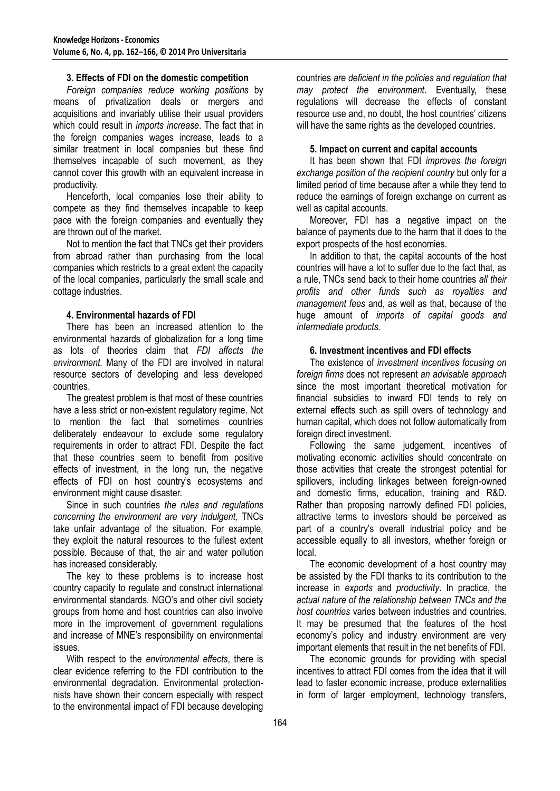#### **3. Effects of FDI on the domestic competition**

*Foreign companies reduce working positions* by means of privatization deals or mergers and acquisitions and invariably utilise their usual providers which could result in *imports increase*. The fact that in the foreign companies wages increase, leads to a similar treatment in local companies but these find themselves incapable of such movement, as they cannot cover this growth with an equivalent increase in productivity.

Henceforth, local companies lose their ability to compete as they find themselves incapable to keep pace with the foreign companies and eventually they are thrown out of the market.

Not to mention the fact that TNCs get their providers from abroad rather than purchasing from the local companies which restricts to a great extent the capacity of the local companies, particularly the small scale and cottage industries.

### **4. Environmental hazards of FDI**

There has been an increased attention to the environmental hazards of globalization for a long time as lots of theories claim that *FDI affects the environment.* Many of the FDI are involved in natural resource sectors of developing and less developed countries.

The greatest problem is that most of these countries have a less strict or non-existent regulatory regime. Not to mention the fact that sometimes countries deliberately endeavour to exclude some regulatory requirements in order to attract FDI. Despite the fact that these countries seem to benefit from positive effects of investment, in the long run, the negative effects of FDI on host country"s ecosystems and environment might cause disaster.

Since in such countries *the rules and regulations concerning the environment are very indulgent,* TNCs take unfair advantage of the situation. For example, they exploit the natural resources to the fullest extent possible. Because of that, the air and water pollution has increased considerably.

The key to these problems is to increase host country capacity to regulate and construct international environmental standards. NGO"s and other civil society groups from home and host countries can also involve more in the improvement of government regulations and increase of MNE"s responsibility on environmental issues.

With respect to the *environmental effects*, there is clear evidence referring to the FDI contribution to the environmental degradation. Environmental protectionnists have shown their concern especially with respect to the environmental impact of FDI because developing

countries *are deficient in the policies and regulation that may protect the environment*. Eventually, these regulations will decrease the effects of constant resource use and, no doubt, the host countries' citizens will have the same rights as the developed countries.

# **5. Impact on current and capital accounts**

It has been shown that FDI *improves the foreign exchange position of the recipient country* but only for a limited period of time because after a while they tend to reduce the earnings of foreign exchange on current as well as capital accounts.

Moreover, FDI has a negative impact on the balance of payments due to the harm that it does to the export prospects of the host economies.

In addition to that, the capital accounts of the host countries will have a lot to suffer due to the fact that, as a rule, TNCs send back to their home countries *all their profits and other funds such as royalties and management fees* and, as well as that, because of the huge amount of *imports of capital goods and intermediate products.*

### **6. Investment incentives and FDI effects**

The existence of *investment incentives focusing on foreign firms* does not represent *an advisable approach* since the most important theoretical motivation for financial subsidies to inward FDI tends to rely on external effects such as spill overs of technology and human capital, which does not follow automatically from foreign direct investment.

Following the same judgement, incentives of motivating economic activities should concentrate on those activities that create the strongest potential for spillovers, including linkages between foreign-owned and domestic firms, education, training and R&D. Rather than proposing narrowly defined FDI policies, attractive terms to investors should be perceived as part of a country's overall industrial policy and be accessible equally to all investors, whether foreign or local.

The economic development of a host country may be assisted by the FDI thanks to its contribution to the increase in *exports* and *productivity*. In practice, the *actual nature of the relationship between TNCs and the host countries* varies between industries and countries. It may be presumed that the features of the host economy"s policy and industry environment are very important elements that result in the net benefits of FDI.

The economic grounds for providing with special incentives to attract FDI comes from the idea that it will lead to faster economic increase, produce externalities in form of larger employment, technology transfers,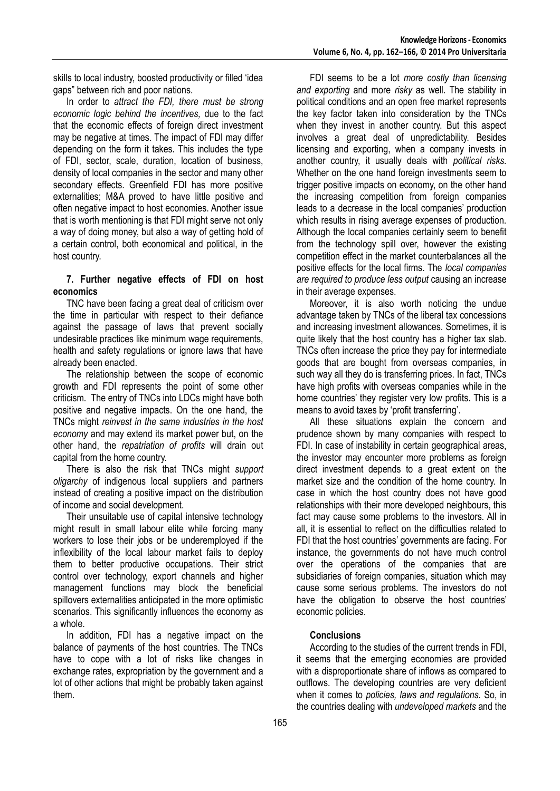skills to local industry, boosted productivity or filled "idea gaps" between rich and poor nations.

In order to *attract the FDI, there must be strong economic logic behind the incentives,* due to the fact that the economic effects of foreign direct investment may be negative at times. The impact of FDI may differ depending on the form it takes. This includes the type of FDI, sector, scale, duration, location of business, density of local companies in the sector and many other secondary effects. Greenfield FDI has more positive externalities; M&A proved to have little positive and often negative impact to host economies. Another issue that is worth mentioning is that FDI might serve not only a way of doing money, but also a way of getting hold of a certain control, both economical and political, in the host country.

### **7. Further negative effects of FDI on host economics**

TNC have been facing a great deal of criticism over the time in particular with respect to their defiance against the passage of laws that prevent socially undesirable practices like minimum wage requirements, health and safety regulations or ignore laws that have already been enacted.

The relationship between the scope of economic growth and FDI represents the point of some other criticism. The entry of TNCs into LDCs might have both positive and negative impacts. On the one hand, the TNCs might *reinvest in the same industries in the host economy* and may extend its market power but, on the other hand, the *repatriation of profits* will drain out capital from the home country.

There is also the risk that TNCs might *support oligarchy* of indigenous local suppliers and partners instead of creating a positive impact on the distribution of income and social development.

Their unsuitable use of capital intensive technology might result in small labour elite while forcing many workers to lose their jobs or be underemployed if the inflexibility of the local labour market fails to deploy them to better productive occupations. Their strict control over technology, export channels and higher management functions may block the beneficial spillovers externalities anticipated in the more optimistic scenarios. This significantly influences the economy as a whole.

In addition, FDI has a negative impact on the balance of payments of the host countries. The TNCs have to cope with a lot of risks like changes in exchange rates, expropriation by the government and a lot of other actions that might be probably taken against them.

FDI seems to be a lot *more costly than licensing and exporting* and more *risky* as well. The stability in political conditions and an open free market represents the key factor taken into consideration by the TNCs when they invest in another country. But this aspect involves a great deal of unpredictability. Besides licensing and exporting, when a company invests in another country, it usually deals with *political risks.* Whether on the one hand foreign investments seem to trigger positive impacts on economy, on the other hand the increasing competition from foreign companies leads to a decrease in the local companies" production which results in rising average expenses of production. Although the local companies certainly seem to benefit from the technology spill over, however the existing competition effect in the market counterbalances all the positive effects for the local firms. The *local companies are required to produce less output* causing an increase in their average expenses.

Moreover, it is also worth noticing the undue advantage taken by TNCs of the liberal tax concessions and increasing investment allowances. Sometimes, it is quite likely that the host country has a higher tax slab. TNCs often increase the price they pay for intermediate goods that are bought from overseas companies, in such way all they do is transferring prices. In fact, TNCs have high profits with overseas companies while in the home countries' they register very low profits. This is a means to avoid taxes by "profit transferring".

All these situations explain the concern and prudence shown by many companies with respect to FDI. In case of instability in certain geographical areas, the investor may encounter more problems as foreign direct investment depends to a great extent on the market size and the condition of the home country. In case in which the host country does not have good relationships with their more developed neighbours, this fact may cause some problems to the investors. All in all, it is essential to reflect on the difficulties related to FDI that the host countries' governments are facing. For instance, the governments do not have much control over the operations of the companies that are subsidiaries of foreign companies, situation which may cause some serious problems. The investors do not have the obligation to observe the host countries' economic policies.

# **Conclusions**

According to the studies of the current trends in FDI, it seems that the emerging economies are provided with a disproportionate share of inflows as compared to outflows. The developing countries are very deficient when it comes to *policies, laws and regulations.* So, in the countries dealing with *undeveloped markets* and the